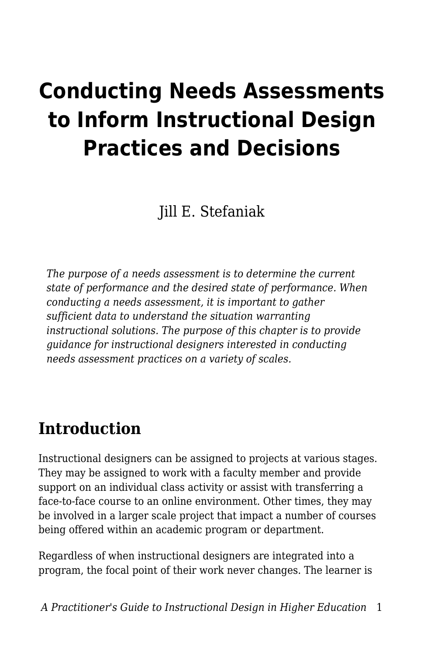# **Conducting Needs Assessments to Inform Instructional Design Practices and Decisions**

Jill E. Stefaniak

*The purpose of a needs assessment is to determine the current state of performance and the desired state of performance. When conducting a needs assessment, it is important to gather sufficient data to understand the situation warranting instructional solutions. The purpose of this chapter is to provide guidance for instructional designers interested in conducting needs assessment practices on a variety of scales.*

# **Introduction**

Instructional designers can be assigned to projects at various stages. They may be assigned to work with a faculty member and provide support on an individual class activity or assist with transferring a face-to-face course to an online environment. Other times, they may be involved in a larger scale project that impact a number of courses being offered within an academic program or department.

Regardless of when instructional designers are integrated into a program, the focal point of their work never changes. The learner is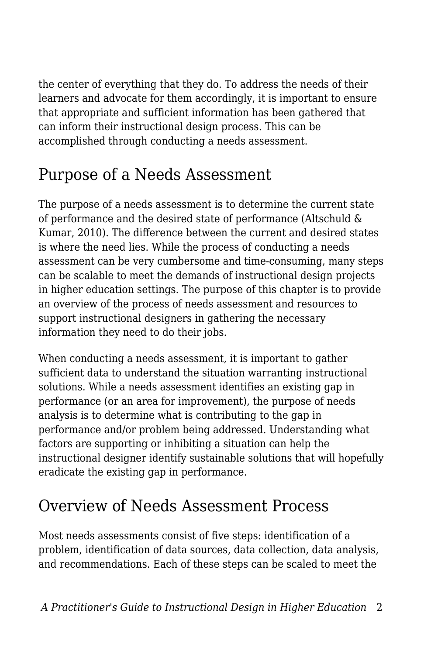the center of everything that they do. To address the needs of their learners and advocate for them accordingly, it is important to ensure that appropriate and sufficient information has been gathered that can inform their instructional design process. This can be accomplished through conducting a needs assessment.

# Purpose of a Needs Assessment

The purpose of a needs assessment is to determine the current state of performance and the desired state of performance (Altschuld & Kumar, 2010). The difference between the current and desired states is where the need lies. While the process of conducting a needs assessment can be very cumbersome and time-consuming, many steps can be scalable to meet the demands of instructional design projects in higher education settings. The purpose of this chapter is to provide an overview of the process of needs assessment and resources to support instructional designers in gathering the necessary information they need to do their jobs.

When conducting a needs assessment, it is important to gather sufficient data to understand the situation warranting instructional solutions. While a needs assessment identifies an existing gap in performance (or an area for improvement), the purpose of needs analysis is to determine what is contributing to the gap in performance and/or problem being addressed. Understanding what factors are supporting or inhibiting a situation can help the instructional designer identify sustainable solutions that will hopefully eradicate the existing gap in performance.

# Overview of Needs Assessment Process

Most needs assessments consist of five steps: identification of a problem, identification of data sources, data collection, data analysis, and recommendations. Each of these steps can be scaled to meet the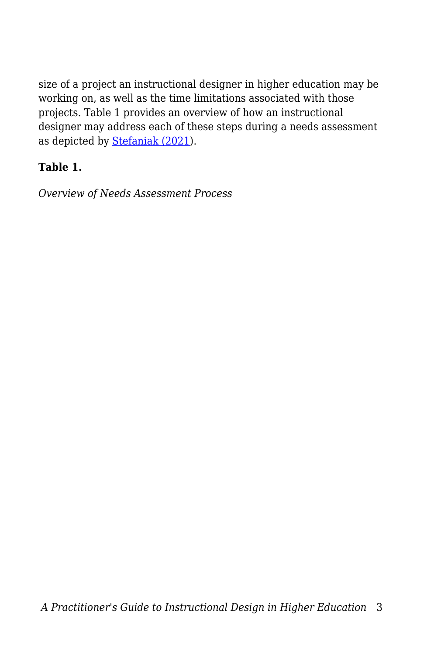size of a project an instructional designer in higher education may be working on, as well as the time limitations associated with those projects. Table 1 provides an overview of how an instructional designer may address each of these steps during a needs assessment as depicted by [Stefaniak \(2021](https://edtechbooks.org/id/needs_analysis)).

### **Table 1.**

*Overview of Needs Assessment Process*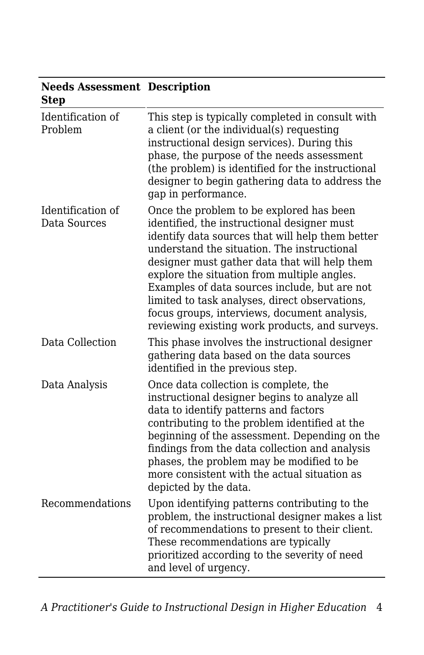| Needs Assessment Description<br><b>Step</b> |                                                                                                                                                                                                                                                                                                                                                                                                                                                                                                 |
|---------------------------------------------|-------------------------------------------------------------------------------------------------------------------------------------------------------------------------------------------------------------------------------------------------------------------------------------------------------------------------------------------------------------------------------------------------------------------------------------------------------------------------------------------------|
| Identification of<br>Problem                | This step is typically completed in consult with<br>a client (or the individual(s) requesting<br>instructional design services). During this<br>phase, the purpose of the needs assessment<br>(the problem) is identified for the instructional<br>designer to begin gathering data to address the<br>gap in performance.                                                                                                                                                                       |
| Identification of<br>Data Sources           | Once the problem to be explored has been<br>identified, the instructional designer must<br>identify data sources that will help them better<br>understand the situation. The instructional<br>designer must gather data that will help them<br>explore the situation from multiple angles.<br>Examples of data sources include, but are not<br>limited to task analyses, direct observations,<br>focus groups, interviews, document analysis,<br>reviewing existing work products, and surveys. |
| Data Collection                             | This phase involves the instructional designer<br>gathering data based on the data sources<br>identified in the previous step.                                                                                                                                                                                                                                                                                                                                                                  |
| Data Analysis                               | Once data collection is complete, the<br>instructional designer begins to analyze all<br>data to identify patterns and factors<br>contributing to the problem identified at the<br>beginning of the assessment. Depending on the<br>findings from the data collection and analysis<br>phases, the problem may be modified to be<br>more consistent with the actual situation as<br>depicted by the data.                                                                                        |
| Recommendations                             | Upon identifying patterns contributing to the<br>problem, the instructional designer makes a list<br>of recommendations to present to their client.<br>These recommendations are typically<br>prioritized according to the severity of need<br>and level of urgency.                                                                                                                                                                                                                            |

### **Needs Assessment Description**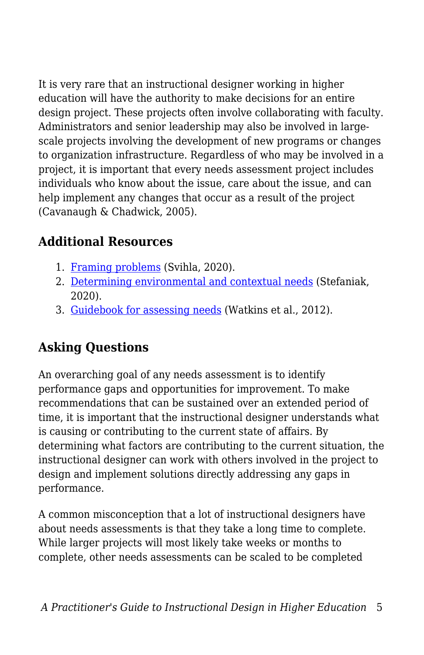It is very rare that an instructional designer working in higher education will have the authority to make decisions for an entire design project. These projects often involve collaborating with faculty. Administrators and senior leadership may also be involved in largescale projects involving the development of new programs or changes to organization infrastructure. Regardless of who may be involved in a project, it is important that every needs assessment project includes individuals who know about the issue, care about the issue, and can help implement any changes that occur as a result of the project (Cavanaugh & Chadwick, 2005).

## **Additional Resources**

- 1. [Framing problems](https://edtechbooks.org/id/problem_framing) (Svihla, 2020).
- 2. [Determining environmental and contextual needs](https://edtechbooks.org/id/needs_analysis) (Stefaniak, 2020).
- 3. [Guidebook for assessing needs](https://wesharescience.com/na/guidebook.html) (Watkins et al., 2012).

## **Asking Questions**

An overarching goal of any needs assessment is to identify performance gaps and opportunities for improvement. To make recommendations that can be sustained over an extended period of time, it is important that the instructional designer understands what is causing or contributing to the current state of affairs. By determining what factors are contributing to the current situation, the instructional designer can work with others involved in the project to design and implement solutions directly addressing any gaps in performance.

A common misconception that a lot of instructional designers have about needs assessments is that they take a long time to complete. While larger projects will most likely take weeks or months to complete, other needs assessments can be scaled to be completed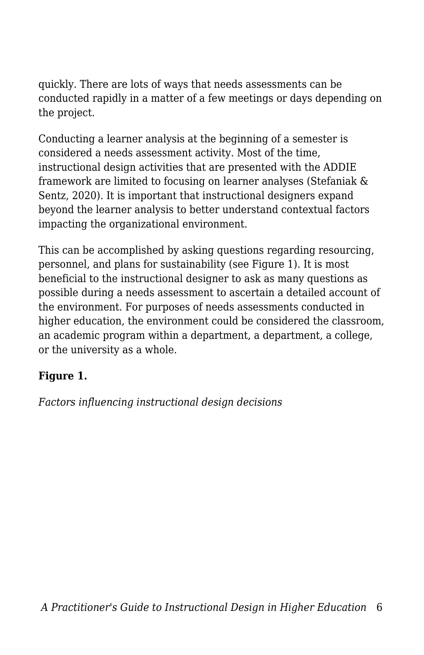quickly. There are lots of ways that needs assessments can be conducted rapidly in a matter of a few meetings or days depending on the project.

Conducting a learner analysis at the beginning of a semester is considered a needs assessment activity. Most of the time, instructional design activities that are presented with the ADDIE framework are limited to focusing on learner analyses (Stefaniak & Sentz, 2020). It is important that instructional designers expand beyond the learner analysis to better understand contextual factors impacting the organizational environment.

This can be accomplished by asking questions regarding resourcing, personnel, and plans for sustainability (see Figure 1). It is most beneficial to the instructional designer to ask as many questions as possible during a needs assessment to ascertain a detailed account of the environment. For purposes of needs assessments conducted in higher education, the environment could be considered the classroom, an academic program within a department, a department, a college, or the university as a whole.

### **Figure 1.**

*Factors influencing instructional design decisions*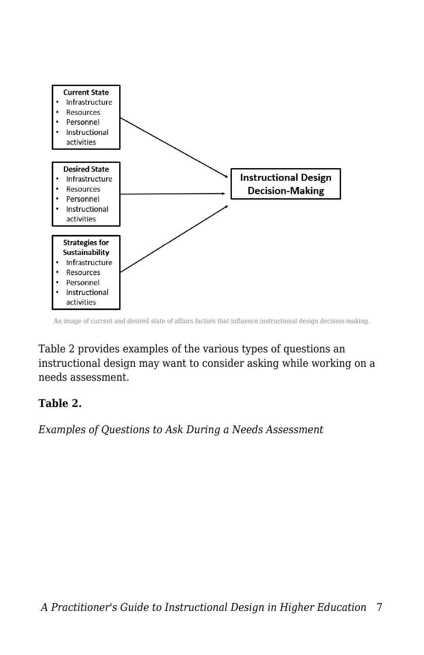

An image of current and desired state of affairs factors that influence instructional design decision-making.

Table 2 provides examples of the various types of questions an instructional design may want to consider asking while working on a needs assessment.

### **Table 2.**

*Examples of Questions to Ask During a Needs Assessment*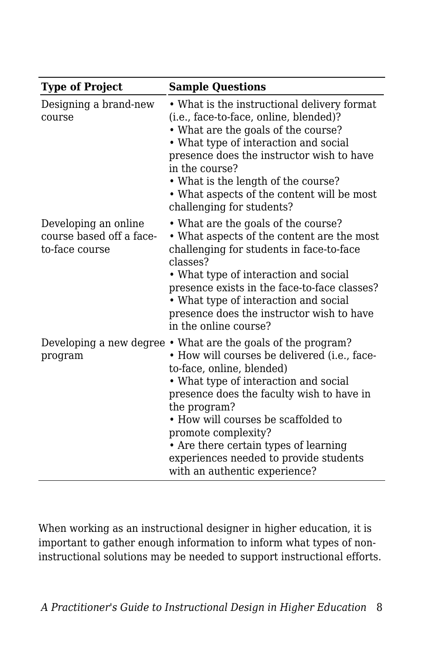| <b>Type of Project</b>                                             | <b>Sample Questions</b>                                                                                                                                                                                                                                                                                                                                                                                                           |
|--------------------------------------------------------------------|-----------------------------------------------------------------------------------------------------------------------------------------------------------------------------------------------------------------------------------------------------------------------------------------------------------------------------------------------------------------------------------------------------------------------------------|
| Designing a brand-new<br>course                                    | • What is the instructional delivery format<br>(i.e., face-to-face, online, blended)?<br>• What are the goals of the course?<br>• What type of interaction and social<br>presence does the instructor wish to have<br>in the course?<br>• What is the length of the course?<br>• What aspects of the content will be most<br>challenging for students?                                                                            |
| Developing an online<br>course based off a face-<br>to-face course | • What are the goals of the course?<br>• What aspects of the content are the most<br>challenging for students in face-to-face<br>classes?<br>• What type of interaction and social<br>presence exists in the face-to-face classes?<br>• What type of interaction and social<br>presence does the instructor wish to have<br>in the online course?                                                                                 |
| program                                                            | Developing a new degree • What are the goals of the program?<br>• How will courses be delivered (i.e., face-<br>to-face, online, blended)<br>• What type of interaction and social<br>presence does the faculty wish to have in<br>the program?<br>• How will courses be scaffolded to<br>promote complexity?<br>• Are there certain types of learning<br>experiences needed to provide students<br>with an authentic experience? |

When working as an instructional designer in higher education, it is important to gather enough information to inform what types of noninstructional solutions may be needed to support instructional efforts.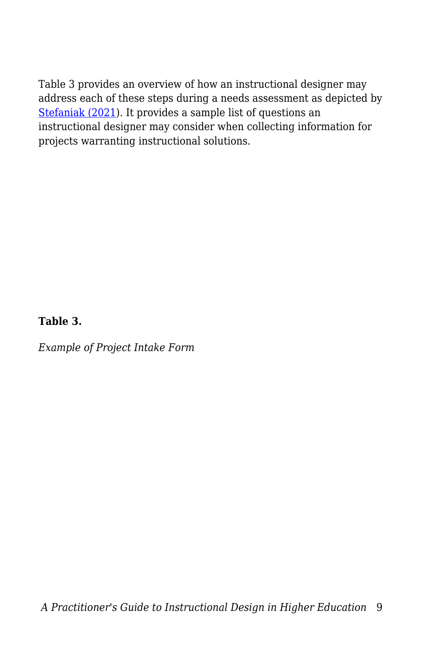Table 3 provides an overview of how an instructional designer may address each of these steps during a needs assessment as depicted by [Stefaniak \(2021\)](https://edtechbooks.org/id/needs_analysis). It provides a sample list of questions an instructional designer may consider when collecting information for projects warranting instructional solutions.

### **Table 3.**

*Example of Project Intake Form*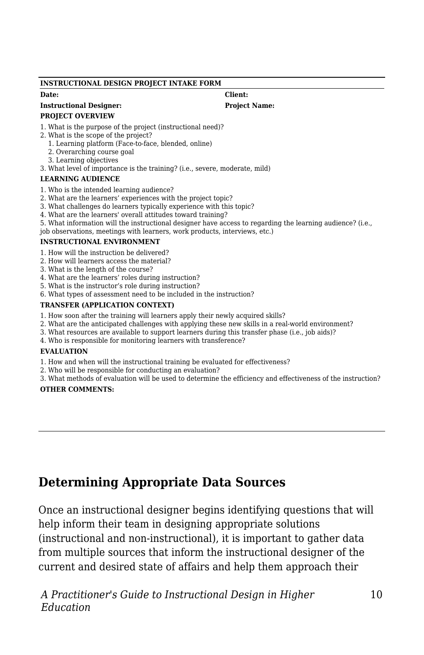#### **INSTRUCTIONAL DESIGN PROJECT INTAKE FORM**

#### **Instructional Designer: Project Name:**

#### **PROJECT OVERVIEW**

1. What is the purpose of the project (instructional need)?

- 2. What is the scope of the project?
	- 1. Learning platform (Face-to-face, blended, online)
	- 2. Overarching course goal
	- 3. Learning objectives
- 3. What level of importance is the training? (i.e., severe, moderate, mild)

### **LEARNING AUDIENCE**

- 1. Who is the intended learning audience?
- 2. What are the learners' experiences with the project topic?
- 3. What challenges do learners typically experience with this topic?
- 4. What are the learners' overall attitudes toward training?
- 5. What information will the instructional designer have access to regarding the learning audience? (i.e.,
- job observations, meetings with learners, work products, interviews, etc.)

#### **INSTRUCTIONAL ENVIRONMENT**

- 1. How will the instruction be delivered?
- 2. How will learners access the material?
- 3. What is the length of the course?
- 4. What are the learners' roles during instruction?
- 5. What is the instructor's role during instruction?
- 6. What types of assessment need to be included in the instruction?

### **TRANSFER (APPLICATION CONTEXT)**

- 1. How soon after the training will learners apply their newly acquired skills?
- 2. What are the anticipated challenges with applying these new skills in a real-world environment?
- 3. What resources are available to support learners during this transfer phase (i.e., job aids)?
- 4. Who is responsible for monitoring learners with transference?

#### **EVALUATION**

- 1. How and when will the instructional training be evaluated for effectiveness?
- 2. Who will be responsible for conducting an evaluation?
- 3. What methods of evaluation will be used to determine the efficiency and effectiveness of the instruction?

#### **OTHER COMMENTS:**

### **Determining Appropriate Data Sources**

Once an instructional designer begins identifying questions that will help inform their team in designing appropriate solutions (instructional and non-instructional), it is important to gather data from multiple sources that inform the instructional designer of the current and desired state of affairs and help them approach their

*A Practitioner's Guide to Instructional Design in Higher Education*

**Date: Client:**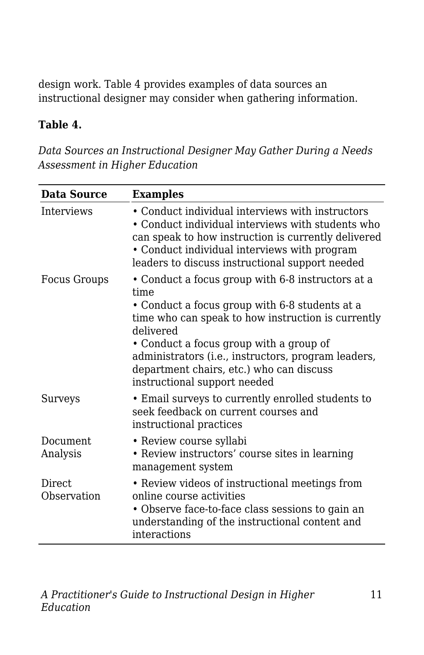design work. Table 4 provides examples of data sources an instructional designer may consider when gathering information.

### **Table 4.**

*Data Sources an Instructional Designer May Gather During a Needs Assessment in Higher Education*

| Data Source                  | <b>Examples</b>                                                                                                                                                                                                                                                 |
|------------------------------|-----------------------------------------------------------------------------------------------------------------------------------------------------------------------------------------------------------------------------------------------------------------|
| Interviews                   | • Conduct individual interviews with instructors<br>• Conduct individual interviews with students who<br>can speak to how instruction is currently delivered<br>• Conduct individual interviews with program<br>leaders to discuss instructional support needed |
| <b>Focus Groups</b>          | • Conduct a focus group with 6-8 instructors at a<br>time<br>• Conduct a focus group with 6-8 students at a<br>time who can speak to how instruction is currently<br>delivered<br>• Conduct a focus group with a group of                                       |
|                              | administrators (i.e., instructors, program leaders,<br>department chairs, etc.) who can discuss<br>instructional support needed                                                                                                                                 |
| Surveys                      | • Email surveys to currently enrolled students to<br>seek feedback on current courses and<br>instructional practices                                                                                                                                            |
| Document.<br>Analysis        | • Review course syllabi<br>• Review instructors' course sites in learning<br>management system                                                                                                                                                                  |
| <b>Direct</b><br>Observation | • Review videos of instructional meetings from<br>online course activities<br>• Observe face-to-face class sessions to gain an<br>understanding of the instructional content and<br>interactions                                                                |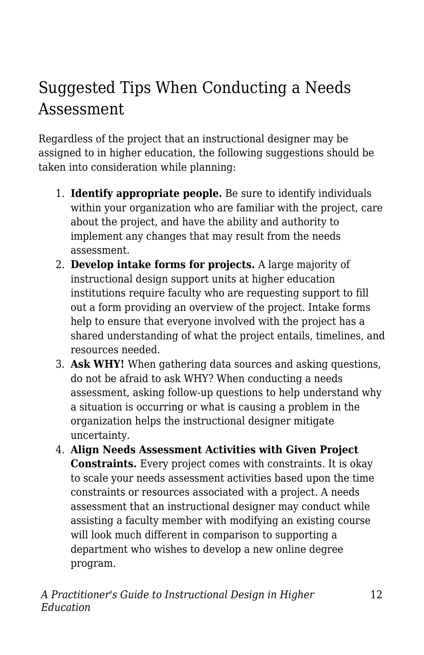# Suggested Tips When Conducting a Needs Assessment

Regardless of the project that an instructional designer may be assigned to in higher education, the following suggestions should be taken into consideration while planning:

- 1. **Identify appropriate people.** Be sure to identify individuals within your organization who are familiar with the project, care about the project, and have the ability and authority to implement any changes that may result from the needs assessment.
- 2. **Develop intake forms for projects.** A large majority of instructional design support units at higher education institutions require faculty who are requesting support to fill out a form providing an overview of the project. Intake forms help to ensure that everyone involved with the project has a shared understanding of what the project entails, timelines, and resources needed.
- 3. **Ask WHY!** When gathering data sources and asking questions, do not be afraid to ask WHY? When conducting a needs assessment, asking follow-up questions to help understand why a situation is occurring or what is causing a problem in the organization helps the instructional designer mitigate uncertainty.
- 4. **Align Needs Assessment Activities with Given Project Constraints.** Every project comes with constraints. It is okay to scale your needs assessment activities based upon the time constraints or resources associated with a project. A needs assessment that an instructional designer may conduct while assisting a faculty member with modifying an existing course will look much different in comparison to supporting a department who wishes to develop a new online degree program.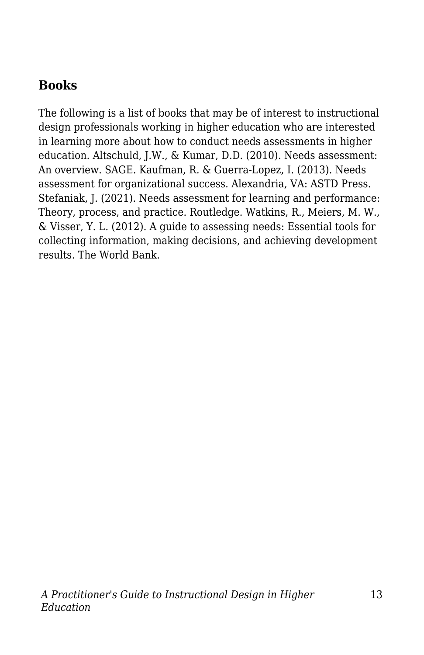## **Books**

The following is a list of books that may be of interest to instructional design professionals working in higher education who are interested in learning more about how to conduct needs assessments in higher education. Altschuld, J.W., & Kumar, D.D. (2010). Needs assessment: An overview. SAGE. Kaufman, R. & Guerra-Lopez, I. (2013). Needs assessment for organizational success. Alexandria, VA: ASTD Press. Stefaniak, J. (2021). Needs assessment for learning and performance: Theory, process, and practice. Routledge. Watkins, R., Meiers, M. W., & Visser, Y. L. (2012). A guide to assessing needs: Essential tools for collecting information, making decisions, and achieving development results. The World Bank.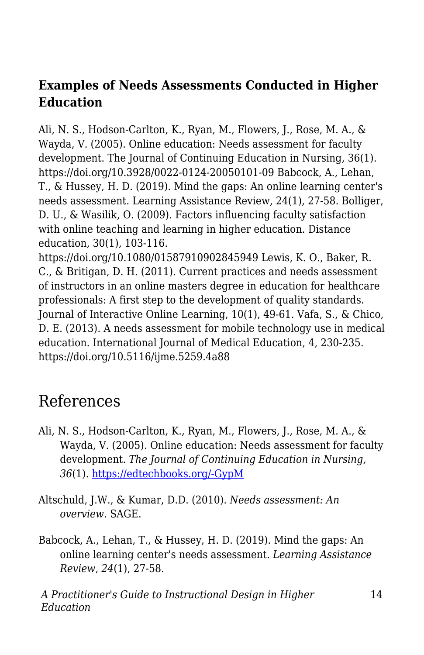### **Examples of Needs Assessments Conducted in Higher Education**

Ali, N. S., Hodson-Carlton, K., Ryan, M., Flowers, J., Rose, M. A., & Wayda, V. (2005). Online education: Needs assessment for faculty development. The Journal of Continuing Education in Nursing, 36(1). https://doi.org/10.3928/0022-0124-20050101-09 Babcock, A., Lehan, T., & Hussey, H. D. (2019). Mind the gaps: An online learning center's needs assessment. Learning Assistance Review, 24(1), 27-58. Bolliger, D. U., & Wasilik, O. (2009). Factors influencing faculty satisfaction with online teaching and learning in higher education. Distance education, 30(1), 103-116.

https://doi.org/10.1080/01587910902845949 Lewis, K. O., Baker, R. C., & Britigan, D. H. (2011). Current practices and needs assessment of instructors in an online masters degree in education for healthcare professionals: A first step to the development of quality standards. Journal of Interactive Online Learning, 10(1), 49-61. Vafa, S., & Chico, D. E. (2013). A needs assessment for mobile technology use in medical education. International Journal of Medical Education, 4, 230-235. https://doi.org/10.5116/ijme.5259.4a88

# References

- Ali, N. S., Hodson-Carlton, K., Ryan, M., Flowers, J., Rose, M. A., & Wayda, V. (2005). Online education: Needs assessment for faculty development. *The Journal of Continuing Education in Nursing, 36*(1). [https://edtechbooks.org/-GypM](https://doi.org/10.3928/0022-0124-20050101-09)
- Altschuld, J.W., & Kumar, D.D. (2010). *Needs assessment: An overview.* SAGE.
- Babcock, A., Lehan, T., & Hussey, H. D. (2019). Mind the gaps: An online learning center's needs assessment. *Learning Assistance Review*, *24*(1), 27-58.

*A Practitioner's Guide to Instructional Design in Higher Education*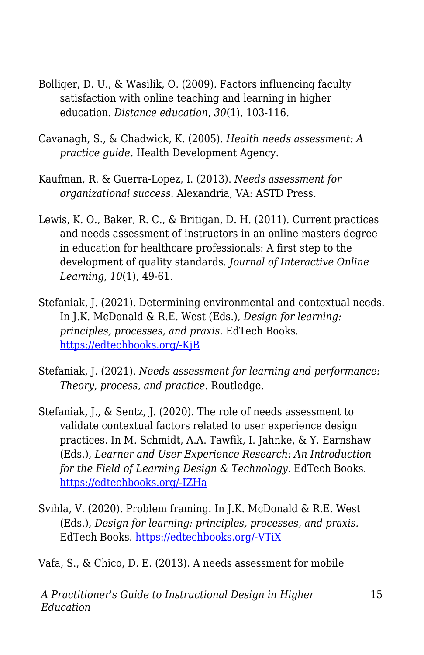- Bolliger, D. U., & Wasilik, O. (2009). Factors influencing faculty satisfaction with online teaching and learning in higher education. *Distance education*, *30*(1), 103-116.
- Cavanagh, S., & Chadwick, K. (2005). *Health needs assessment: A practice guide.* Health Development Agency.
- Kaufman, R. & Guerra-Lopez, I. (2013). *Needs assessment for organizational success.* Alexandria, VA: ASTD Press.
- Lewis, K. O., Baker, R. C., & Britigan, D. H. (2011). Current practices and needs assessment of instructors in an online masters degree in education for healthcare professionals: A first step to the development of quality standards. *Journal of Interactive Online Learning*, *10*(1), 49-61.
- Stefaniak, J. (2021). Determining environmental and contextual needs. In J.K. McDonald & R.E. West (Eds.), *Design for learning: principles, processes, and praxis.* EdTech Books. [https://edtechbooks.org/-KjB](http://edtechbooks.org/id/needs_analysis)
- Stefaniak, J. (2021). *Needs assessment for learning and performance: Theory, process, and practice.* Routledge.
- Stefaniak, J., & Sentz, J. (2020). The role of needs assessment to validate contextual factors related to user experience design practices. In M. Schmidt, A.A. Tawfik, I. Jahnke, & Y. Earnshaw (Eds.), *Learner and User Experience Research: An Introduction for the Field of Learning Design & Technology.* EdTech Books. [https://edtechbooks.org/-IZHa](https://edtechbooks.org/ux/role_of_needs_assessment)
- Svihla, V. (2020). Problem framing. In J.K. McDonald & R.E. West (Eds.), *Design for learning: principles, processes, and praxis.* EdTech Books. [https://edtechbooks.org/-VTiX](https://edtechbooks.org/id/problem_framing)

Vafa, S., & Chico, D. E. (2013). A needs assessment for mobile

*A Practitioner's Guide to Instructional Design in Higher Education*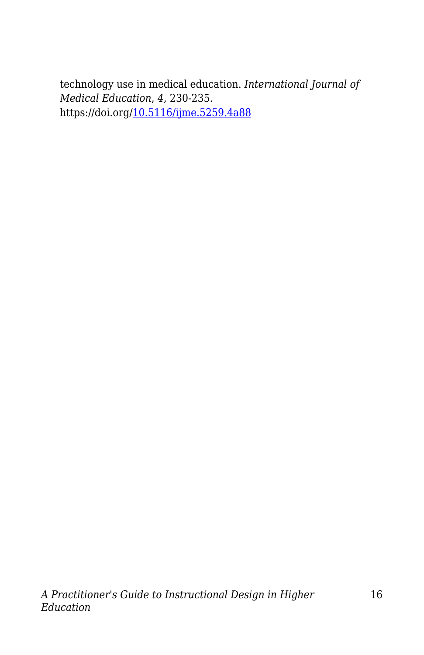technology use in medical education. *International Journal of Medical Education*, *4*, 230-235. https://doi.org/[10.5116/ijme.5259.4a88](https://dx.doi.org/10.5116/ijme.5259.4a88)